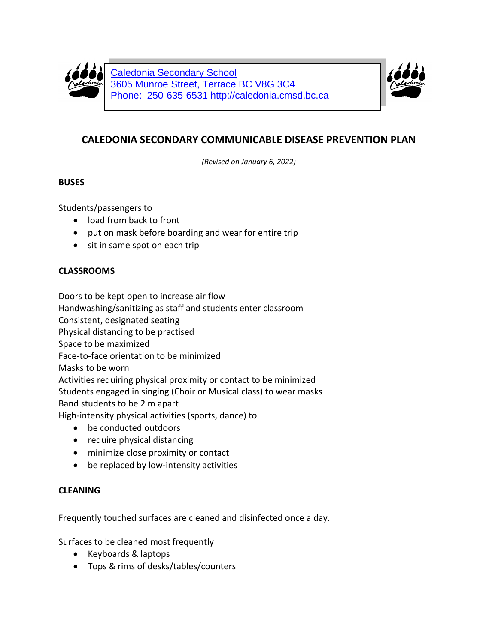

Caledonia Secondary School 3605 Munroe Street, Terrace BC V8G 3C4 Phone: 250-635-6531 http://caledonia.cmsd.bc.ca



# **CALEDONIA SECONDARY COMMUNICABLE DISEASE PREVENTION PLAN**

*(Revised on January 6, 2022)*

## **BUSES**

Students/passengers to

- load from back to front
- put on mask before boarding and wear for entire trip
- sit in same spot on each trip

## **CLASSROOMS**

Doors to be kept open to increase air flow Handwashing/sanitizing as staff and students enter classroom Consistent, designated seating Physical distancing to be practised Space to be maximized Face-to-face orientation to be minimized Masks to be worn Activities requiring physical proximity or contact to be minimized Students engaged in singing (Choir or Musical class) to wear masks Band students to be 2 m apart

High-intensity physical activities (sports, dance) to

- be conducted outdoors
- require physical distancing
- minimize close proximity or contact
- be replaced by low-intensity activities

## **CLEANING**

Frequently touched surfaces are cleaned and disinfected once a day.

Surfaces to be cleaned most frequently

- Keyboards & laptops
- Tops & rims of desks/tables/counters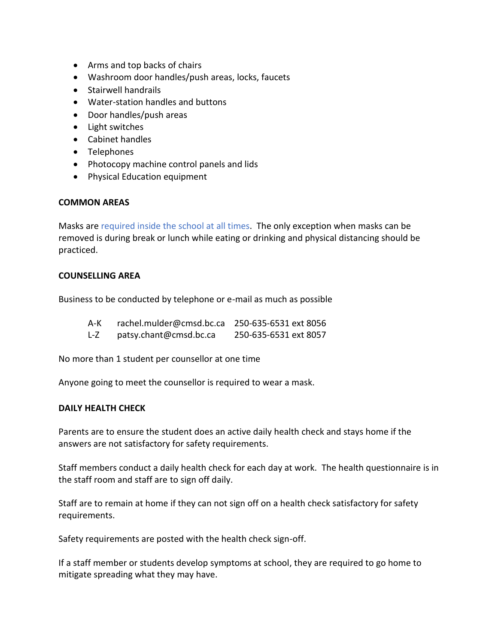- Arms and top backs of chairs
- Washroom door handles/push areas, locks, faucets
- Stairwell handrails
- Water-station handles and buttons
- Door handles/push areas
- Light switches
- Cabinet handles
- Telephones
- Photocopy machine control panels and lids
- Physical Education equipment

### **COMMON AREAS**

Masks are required inside the school at all times. The only exception when masks can be removed is during break or lunch while eating or drinking and physical distancing should be practiced.

#### **COUNSELLING AREA**

Business to be conducted by telephone or e-mail as much as possible

- A-K rachel.mulder@cmsd.bc.ca 250-635-6531 ext 8056
- L-Z patsy.chant@cmsd.bc.ca 250-635-6531 ext 8057

No more than 1 student per counsellor at one time

Anyone going to meet the counsellor is required to wear a mask.

#### **DAILY HEALTH CHECK**

Parents are to ensure the student does an active daily health check and stays home if the answers are not satisfactory for safety requirements.

Staff members conduct a daily health check for each day at work. The health questionnaire is in the staff room and staff are to sign off daily.

Staff are to remain at home if they can not sign off on a health check satisfactory for safety requirements.

Safety requirements are posted with the health check sign-off.

If a staff member or students develop symptoms at school, they are required to go home to mitigate spreading what they may have.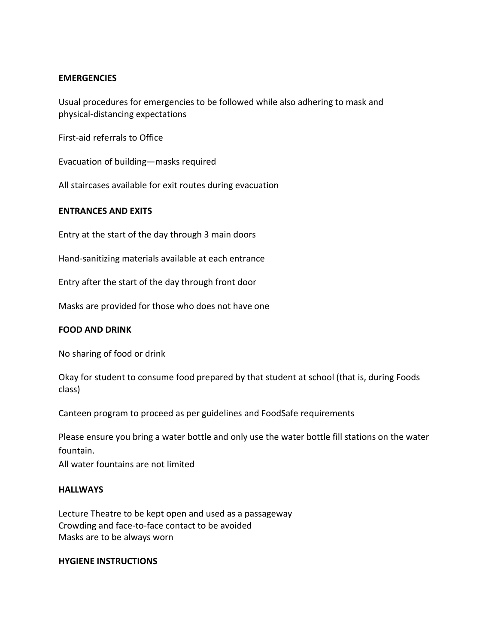#### **EMERGENCIES**

Usual procedures for emergencies to be followed while also adhering to mask and physical-distancing expectations

First-aid referrals to Office

Evacuation of building—masks required

All staircases available for exit routes during evacuation

### **ENTRANCES AND EXITS**

Entry at the start of the day through 3 main doors

Hand-sanitizing materials available at each entrance

Entry after the start of the day through front door

Masks are provided for those who does not have one

#### **FOOD AND DRINK**

No sharing of food or drink

Okay for student to consume food prepared by that student at school (that is, during Foods class)

Canteen program to proceed as per guidelines and FoodSafe requirements

Please ensure you bring a water bottle and only use the water bottle fill stations on the water fountain.

All water fountains are not limited

#### **HALLWAYS**

Lecture Theatre to be kept open and used as a passageway Crowding and face-to-face contact to be avoided Masks are to be always worn

#### **HYGIENE INSTRUCTIONS**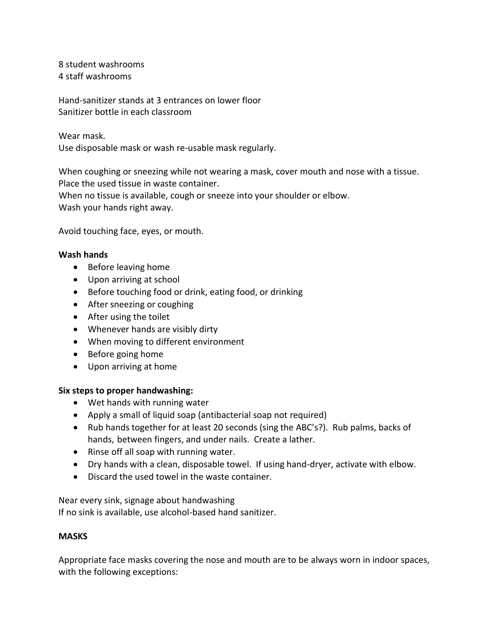8 student washrooms 4 staff washrooms

Hand-sanitizer stands at 3 entrances on lower floor Sanitizer bottle in each classroom

Wear mask.

Use disposable mask or wash re-usable mask regularly.

When coughing or sneezing while not wearing a mask, cover mouth and nose with a tissue. Place the used tissue in waste container.

When no tissue is available, cough or sneeze into your shoulder or elbow.

Wash your hands right away.

Avoid touching face, eyes, or mouth.

## **Wash hands**

- Before leaving home
- Upon arriving at school
- Before touching food or drink, eating food, or drinking
- After sneezing or coughing
- After using the toilet
- Whenever hands are visibly dirty
- When moving to different environment
- Before going home
- Upon arriving at home

## **Six steps to proper handwashing:**

- Wet hands with running water
- Apply a small of liquid soap (antibacterial soap not required)
- Rub hands together for at least 20 seconds (sing the ABC's?). Rub palms, backs of hands, between fingers, and under nails. Create a lather.
- Rinse off all soap with running water.
- Dry hands with a clean, disposable towel. If using hand-dryer, activate with elbow.
- Discard the used towel in the waste container.

Near every sink, signage about handwashing If no sink is available, use alcohol-based hand sanitizer.

## **MASKS**

Appropriate face masks covering the nose and mouth are to be always worn in indoor spaces, with the following exceptions: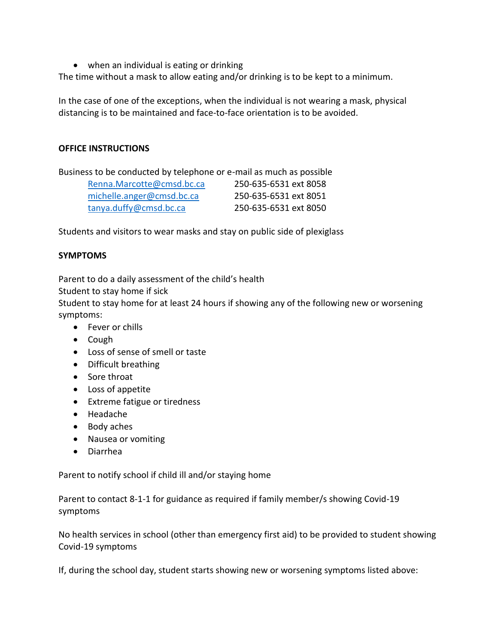• when an individual is eating or drinking

The time without a mask to allow eating and/or drinking is to be kept to a minimum.

In the case of one of the exceptions, when the individual is not wearing a mask, physical distancing is to be maintained and face-to-face orientation is to be avoided.

### **OFFICE INSTRUCTIONS**

Business to be conducted by telephone or e-mail as much as possible [Renna.Marcotte@cmsd.bc.ca](mailto:Renna.Marcotte@cmsd.bc.ca) 250-635-6531 ext 8058 [michelle.anger@cmsd.bc.ca](mailto:michelle.anger@cmsd.bc.ca) 250-635-6531 ext 8051 [tanya.duffy@cmsd.bc.ca](mailto:tanya.duffy@cmsd.bc.ca) 250-635-6531 ext 8050

Students and visitors to wear masks and stay on public side of plexiglass

## **SYMPTOMS**

Parent to do a daily assessment of the child's health

Student to stay home if sick

Student to stay home for at least 24 hours if showing any of the following new or worsening symptoms:

- Fever or chills
- Cough
- Loss of sense of smell or taste
- Difficult breathing
- Sore throat
- Loss of appetite
- Extreme fatigue or tiredness
- Headache
- Body aches
- Nausea or vomiting
- Diarrhea

Parent to notify school if child ill and/or staying home

Parent to contact 8-1-1 for guidance as required if family member/s showing Covid-19 symptoms

No health services in school (other than emergency first aid) to be provided to student showing Covid-19 symptoms

If, during the school day, student starts showing new or worsening symptoms listed above: